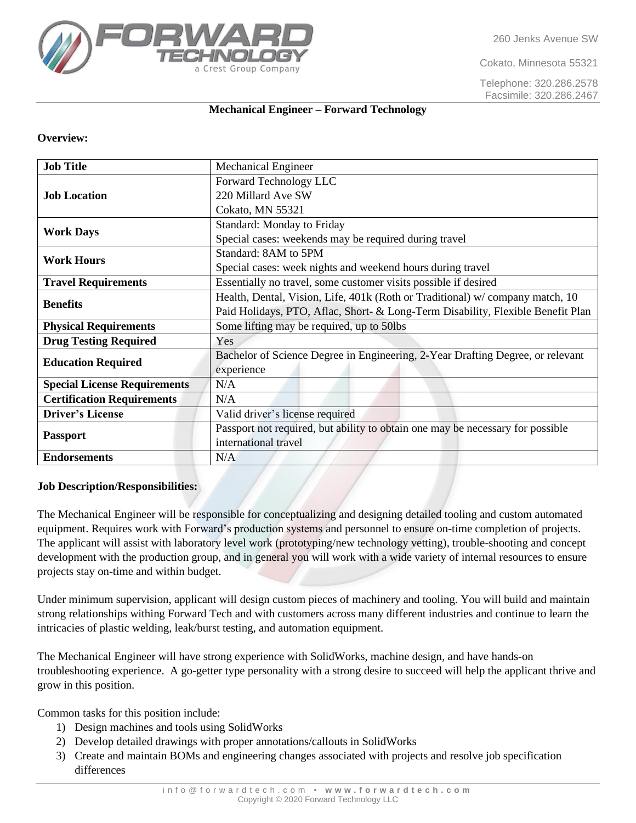260 Jenks Avenue SW

Cokato, Minnesota 55321

Telephone: 320.286.2578 Facsimile: 320.286.2467

# Crest Group Company

#### **Mechanical Engineer – Forward Technology**

#### **Overview:**

| <b>Job Title</b>                    | <b>Mechanical Engineer</b>                                                      |
|-------------------------------------|---------------------------------------------------------------------------------|
| <b>Job Location</b>                 | Forward Technology LLC                                                          |
|                                     | 220 Millard Ave SW                                                              |
|                                     | Cokato, MN 55321                                                                |
| <b>Work Days</b>                    | Standard: Monday to Friday                                                      |
|                                     | Special cases: weekends may be required during travel                           |
| <b>Work Hours</b>                   | Standard: 8AM to 5PM                                                            |
|                                     | Special cases: week nights and weekend hours during travel                      |
| <b>Travel Requirements</b>          | Essentially no travel, some customer visits possible if desired                 |
| <b>Benefits</b>                     | Health, Dental, Vision, Life, 401k (Roth or Traditional) w/company match, 10    |
|                                     | Paid Holidays, PTO, Aflac, Short- & Long-Term Disability, Flexible Benefit Plan |
| <b>Physical Requirements</b>        | Some lifting may be required, up to 50lbs                                       |
| <b>Drug Testing Required</b>        | Yes                                                                             |
| <b>Education Required</b>           | Bachelor of Science Degree in Engineering, 2-Year Drafting Degree, or relevant  |
|                                     | experience                                                                      |
| <b>Special License Requirements</b> | N/A                                                                             |
| <b>Certification Requirements</b>   | N/A                                                                             |
| <b>Driver's License</b>             | Valid driver's license required                                                 |
| <b>Passport</b>                     | Passport not required, but ability to obtain one may be necessary for possible  |
|                                     | international travel                                                            |
| <b>Endorsements</b>                 | N/A                                                                             |

## **Job Description/Responsibilities:**

The Mechanical Engineer will be responsible for conceptualizing and designing detailed tooling and custom automated equipment. Requires work with Forward's production systems and personnel to ensure on-time completion of projects. The applicant will assist with laboratory level work (prototyping/new technology vetting), trouble-shooting and concept development with the production group, and in general you will work with a wide variety of internal resources to ensure projects stay on-time and within budget.

Under minimum supervision, applicant will design custom pieces of machinery and tooling. You will build and maintain strong relationships withing Forward Tech and with customers across many different industries and continue to learn the intricacies of plastic welding, leak/burst testing, and automation equipment.

The Mechanical Engineer will have strong experience with SolidWorks, machine design, and have hands-on troubleshooting experience. A go-getter type personality with a strong desire to succeed will help the applicant thrive and grow in this position.

Common tasks for this position include:

- 1) Design machines and tools using SolidWorks
- 2) Develop detailed drawings with proper annotations/callouts in SolidWorks
- 3) Create and maintain BOMs and engineering changes associated with projects and resolve job specification differences